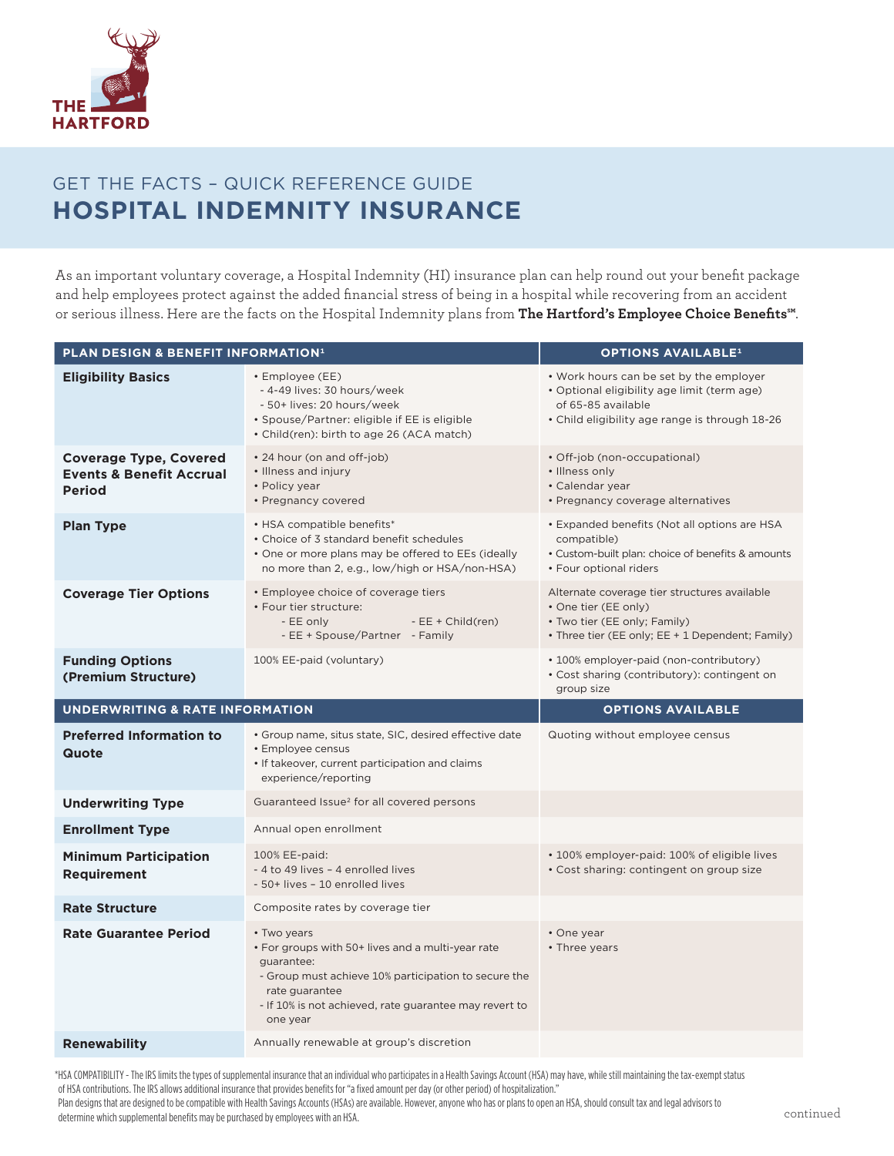

## GET THE FACTS – QUICK REFERENCE GUIDE **HOSPITAL INDEMNITY INSURANCE**

As an important voluntary coverage, a Hospital Indemnity (HI) insurance plan can help round out your benefit package and help employees protect against the added financial stress of being in a hospital while recovering from an accident or serious illness. Here are the facts on the Hospital Indemnity plans from **The Hartford's Employee Choice Benefits℠**.

| <b>PLAN DESIGN &amp; BENEFIT INFORMATION<sup>1</sup></b>                              | <b>OPTIONS AVAILABLE<sup>1</sup></b>                                                                                                                                                                                           |                                                                                                                                                                |  |  |
|---------------------------------------------------------------------------------------|--------------------------------------------------------------------------------------------------------------------------------------------------------------------------------------------------------------------------------|----------------------------------------------------------------------------------------------------------------------------------------------------------------|--|--|
| <b>Eligibility Basics</b>                                                             | • Employee (EE)<br>- 4-49 lives: 30 hours/week<br>- 50+ lives: 20 hours/week<br>• Spouse/Partner: eligible if EE is eligible<br>• Child(ren): birth to age 26 (ACA match)                                                      | • Work hours can be set by the employer<br>· Optional eligibility age limit (term age)<br>of 65-85 available<br>• Child eligibility age range is through 18-26 |  |  |
| <b>Coverage Type, Covered</b><br><b>Events &amp; Benefit Accrual</b><br><b>Period</b> | • 24 hour (on and off-job)<br>• Illness and injury<br>• Policy year<br>• Pregnancy covered                                                                                                                                     | • Off-job (non-occupational)<br>• Illness only<br>• Calendar year<br>• Pregnancy coverage alternatives                                                         |  |  |
| <b>Plan Type</b>                                                                      | • HSA compatible benefits*<br>• Choice of 3 standard benefit schedules<br>• One or more plans may be offered to EEs (ideally<br>no more than 2, e.g., low/high or HSA/non-HSA)                                                 | • Expanded benefits (Not all options are HSA<br>compatible)<br>• Custom-built plan: choice of benefits & amounts<br>• Four optional riders                     |  |  |
| <b>Coverage Tier Options</b>                                                          | <b>Employee choice of coverage tiers</b><br>• Four tier structure:<br>- EE only<br>$-EE + Child(ren)$<br>- EE + Spouse/Partner - Family                                                                                        | Alternate coverage tier structures available<br>• One tier (EE only)<br>• Two tier (EE only; Family)<br>• Three tier (EE only; EE + 1 Dependent; Family)       |  |  |
| <b>Funding Options</b><br>(Premium Structure)                                         | 100% EE-paid (voluntary)                                                                                                                                                                                                       | • 100% employer-paid (non-contributory)<br>• Cost sharing (contributory): contingent on<br>group size                                                          |  |  |
|                                                                                       |                                                                                                                                                                                                                                |                                                                                                                                                                |  |  |
| <b>UNDERWRITING &amp; RATE INFORMATION</b>                                            |                                                                                                                                                                                                                                | <b>OPTIONS AVAILABLE</b>                                                                                                                                       |  |  |
| <b>Preferred Information to</b><br>Quote                                              | • Group name, situs state, SIC, desired effective date<br>• Employee census<br>• If takeover, current participation and claims<br>experience/reporting                                                                         | Quoting without employee census                                                                                                                                |  |  |
| <b>Underwriting Type</b>                                                              | Guaranteed Issue <sup>2</sup> for all covered persons                                                                                                                                                                          |                                                                                                                                                                |  |  |
| <b>Enrollment Type</b>                                                                | Annual open enrollment                                                                                                                                                                                                         |                                                                                                                                                                |  |  |
| <b>Minimum Participation</b><br><b>Requirement</b>                                    | 100% EE-paid:<br>- 4 to 49 lives - 4 enrolled lives<br>- 50+ lives - 10 enrolled lives                                                                                                                                         | • 100% employer-paid: 100% of eligible lives<br>• Cost sharing: contingent on group size                                                                       |  |  |
| <b>Rate Structure</b>                                                                 | Composite rates by coverage tier                                                                                                                                                                                               |                                                                                                                                                                |  |  |
| <b>Rate Guarantee Period</b>                                                          | • Two years<br>• For groups with 50+ lives and a multi-year rate<br>quarantee:<br>- Group must achieve 10% participation to secure the<br>rate guarantee<br>- If 10% is not achieved, rate guarantee may revert to<br>one year | • One year<br>• Three years                                                                                                                                    |  |  |

\*HSA COMPATIBILITY - The IRS limits the types of supplemental insurance that an individual who participates in a Health Savings Account (HSA) may have, while still maintaining the tax-exempt status of HSA contributions. The IRS allows additional insurance that provides benefits for "a fixed amount per day (or other period) of hospitalization."

Plan designs that are designed to be compatible with Health Savings Accounts (HSAs) are available. However, anyone who has or plans to open an HSA, should consult tax and legal advisors to determine which supplemental benefits may be purchased by employees with an HSA.